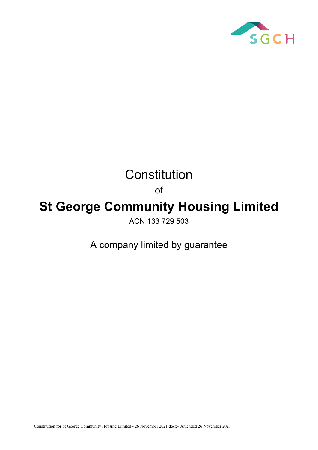

# **Constitution**

of

## **St George Community Housing Limited**

ACN 133 729 503

A company limited by guarantee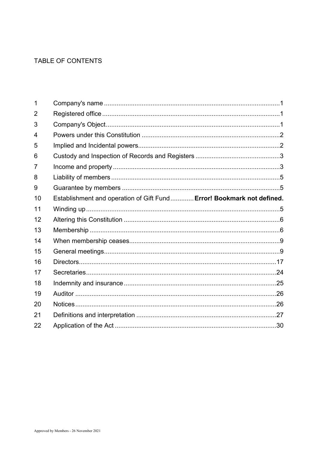## TABLE OF CONTENTS

| 1  |                                                                       |  |
|----|-----------------------------------------------------------------------|--|
| 2  |                                                                       |  |
| 3  |                                                                       |  |
| 4  |                                                                       |  |
| 5  |                                                                       |  |
| 6  |                                                                       |  |
| 7  |                                                                       |  |
| 8  |                                                                       |  |
| 9  |                                                                       |  |
| 10 | Establishment and operation of Gift Fund Error! Bookmark not defined. |  |
| 11 |                                                                       |  |
| 12 |                                                                       |  |
| 13 |                                                                       |  |
| 14 |                                                                       |  |
| 15 |                                                                       |  |
| 16 |                                                                       |  |
| 17 |                                                                       |  |
| 18 |                                                                       |  |
| 19 |                                                                       |  |
| 20 |                                                                       |  |
| 21 |                                                                       |  |
| 22 |                                                                       |  |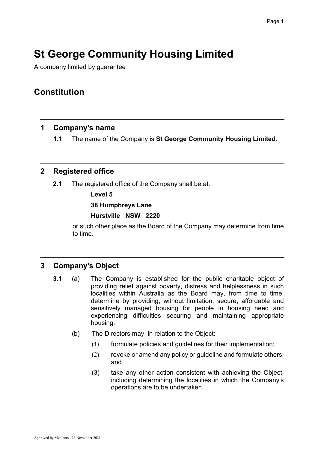## **St George Community Housing Limited**

A company limited by guarantee

## **Constitution**

## <span id="page-2-0"></span>**1 Company's name**

**1.1** The name of the Company is **St George Community Housing Limited**.

## <span id="page-2-1"></span>**2 Registered office**

**2.1** The registered office of the Company shall be at:

**Level 5**

#### **38 Humphreys Lane**

#### **Hurstville NSW 2220**

or such other place as the Board of the Company may determine from time to time.

## <span id="page-2-2"></span>**3 Company's Object**

- **3.1** (a) The Company is established for the public charitable object of providing relief against poverty, distress and helplessness in such localities within Australia as the Board may, from time to time, determine by providing, without limitation, secure, affordable and sensitively managed housing for people in housing need and experiencing difficulties securing and maintaining appropriate housing.
	- (b) The Directors may, in relation to the Object:
		- (1) formulate policies and guidelines for their implementation;
		- (2) revoke or amend any policy or guideline and formulate others; and
		- (3) take any other action consistent with achieving the Object, including determining the localities in which the Company's operations are to be undertaken.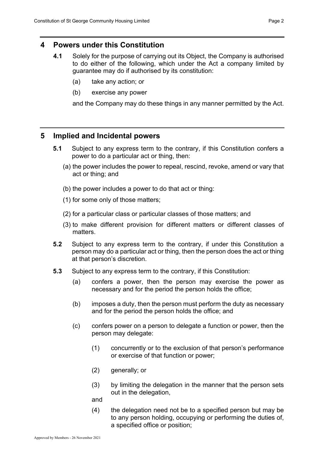## <span id="page-3-0"></span>**4 Powers under this Constitution**

- **4.1** Solely for the purpose of carrying out its Object, the Company is authorised to do either of the following, which under the Act a company limited by guarantee may do if authorised by its constitution:
	- (a) take any action; or
	- (b) exercise any power

and the Company may do these things in any manner permitted by the Act.

## <span id="page-3-1"></span>**5 Implied and Incidental powers**

- **5.1** Subject to any express term to the contrary, if this Constitution confers a power to do a particular act or thing, then:
	- (a) the power includes the power to repeal, rescind, revoke, amend or vary that act or thing; and
	- (b) the power includes a power to do that act or thing:
	- (1) for some only of those matters;
	- (2) for a particular class or particular classes of those matters; and
	- (3) to make different provision for different matters or different classes of matters.
- **5.2** Subject to any express term to the contrary, if under this Constitution a person may do a particular act or thing, then the person does the act or thing at that person's discretion.
- **5.3** Subject to any express term to the contrary, if this Constitution:
	- (a) confers a power, then the person may exercise the power as necessary and for the period the person holds the office;
	- (b) imposes a duty, then the person must perform the duty as necessary and for the period the person holds the office; and
	- (c) confers power on a person to delegate a function or power, then the person may delegate:
		- (1) concurrently or to the exclusion of that person's performance or exercise of that function or power;
		- (2) generally; or
		- (3) by limiting the delegation in the manner that the person sets out in the delegation,
		- and
		- (4) the delegation need not be to a specified person but may be to any person holding, occupying or performing the duties of, a specified office or position;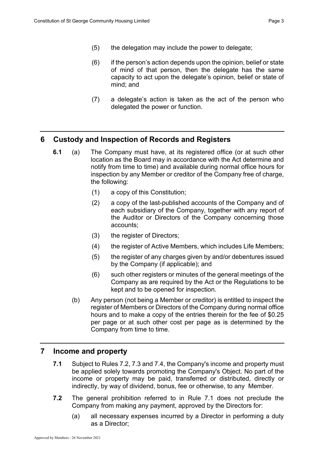- (5) the delegation may include the power to delegate;
- (6) if the person's action depends upon the opinion, belief or state of mind of that person, then the delegate has the same capacity to act upon the delegate's opinion, belief or state of mind; and
- (7) a delegate's action is taken as the act of the person who delegated the power or function.

## <span id="page-4-0"></span>**6 Custody and Inspection of Records and Registers**

- **6.1** (a) The Company must have, at its registered office (or at such other location as the Board may in accordance with the Act determine and notify from time to time) and available during normal office hours for inspection by any Member or creditor of the Company free of charge, the following:
	- (1) a copy of this Constitution;
	- (2) a copy of the last-published accounts of the Company and of each subsidiary of the Company, together with any report of the Auditor or Directors of the Company concerning those accounts;
	- (3) the register of Directors;
	- (4) the register of Active Members, which includes Life Members;
	- (5) the register of any charges given by and/or debentures issued by the Company (if applicable); and
	- (6) such other registers or minutes of the general meetings of the Company as are required by the Act or the Regulations to be kept and to be opened for inspection.
	- (b) Any person (not being a Member or creditor) is entitled to inspect the register of Members or Directors of the Company during normal office hours and to make a copy of the entries therein for the fee of \$0.25 per page or at such other cost per page as is determined by the Company from time to time.

## <span id="page-4-1"></span>**7 Income and property**

- **7.1** Subject to Rules 7.2, 7.3 and 7.4, the Company's income and property must be applied solely towards promoting the Company's Object. No part of the income or property may be paid, transferred or distributed, directly or indirectly, by way of dividend, bonus, fee or otherwise, to any Member.
- **7.2** The general prohibition referred to in Rule 7.1 does not preclude the Company from making any payment, approved by the Directors for:
	- (a) all necessary expenses incurred by a Director in performing a duty as a Director;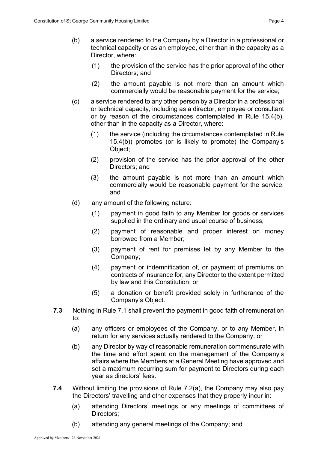- (1) the provision of the service has the prior approval of the other Directors; and
- (2) the amount payable is not more than an amount which commercially would be reasonable payment for the service;
- (c) a service rendered to any other person by a Director in a professional or technical capacity, including as a director, employee or consultant or by reason of the circumstances contemplated in Rule 15.4(b), other than in the capacity as a Director, where:
	- (1) the service (including the circumstances contemplated in Rule 15.4(b)) promotes (or is likely to promote) the Company's Object;
	- (2) provision of the service has the prior approval of the other Directors; and
	- (3) the amount payable is not more than an amount which commercially would be reasonable payment for the service; and
- (d) any amount of the following nature:
	- (1) payment in good faith to any Member for goods or services supplied in the ordinary and usual course of business;
	- (2) payment of reasonable and proper interest on money borrowed from a Member;
	- (3) payment of rent for premises let by any Member to the Company;
	- (4) payment or indemnification of, or payment of premiums on contracts of insurance for, any Director to the extent permitted by law and this Constitution; or
	- (5) a donation or benefit provided solely in furtherance of the Company's Object.
- **7.3** Nothing in Rule 7.1 shall prevent the payment in good faith of remuneration to:
	- (a) any officers or employees of the Company, or to any Member, in return for any services actually rendered to the Company, or
	- (b) any Director by way of reasonable remuneration commensurate with the time and effort spent on the management of the Company's affairs where the Members at a General Meeting have approved and set a maximum recurring sum for payment to Directors during each year as directors' fees.
- **7.4** Without limiting the provisions of Rule 7.2(a), the Company may also pay the Directors' travelling and other expenses that they properly incur in:
	- (a) attending Directors' meetings or any meetings of committees of Directors;
	- (b) attending any general meetings of the Company; and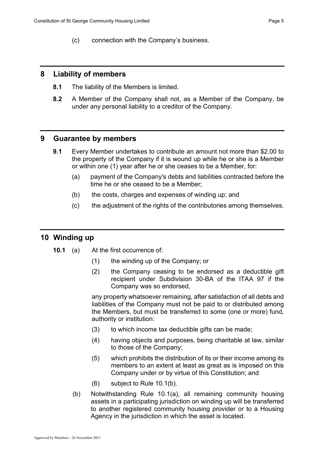#### <span id="page-6-0"></span>**8 Liability of members**

- **8.1** The liability of the Members is limited.
- **8.2** A Member of the Company shall not, as a Member of the Company, be under any personal liability to a creditor of the Company.

## <span id="page-6-1"></span>**9 Guarantee by members**

- **9.1** Every Member undertakes to contribute an amount not more than \$2.00 to the property of the Company if it is wound up while he or she is a Member or within one (1) year after he or she ceases to be a Member, for:
	- (a) payment of the Company's debts and liabilities contracted before the time he or she ceased to be a Member;
	- (b) the costs, charges and expenses of winding up; and
	- (c) the adjustment of the rights of the contributories among themselves.

## <span id="page-6-2"></span>**10 Winding up**

- **10.1** (a) At the first occurrence of:
	- (1) the winding up of the Company; or
	- (2) the Company ceasing to be endorsed as a deductible gift recipient under Subdivision 30-BA of the ITAA 97 if the Company was so endorsed,

any property whatsoever remaining, after satisfaction of all debts and liabilities of the Company must not be paid to or distributed among the Members, but must be transferred to some (one or more) fund, authority or institution:

- (3) to which income tax deductible gifts can be made;
- (4) having objects and purposes, being charitable at law, similar to those of the Company;
- (5) which prohibits the distribution of its or their income among its members to an extent at least as great as is imposed on this Company under or by virtue of this Constitution; and
- (6) subject to Rule 10.1(b).
- (b) Notwithstanding Rule 10.1(a), all remaining community housing assets in a participating jurisdiction on winding up will be transferred to another registered community housing provider or to a Housing Agency in the jurisdiction in which the asset is located.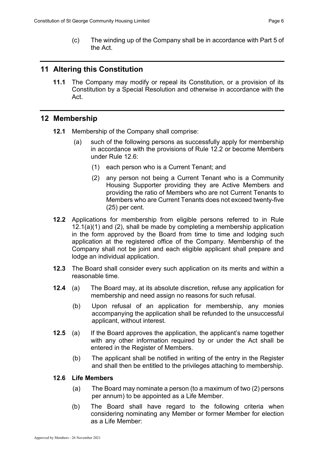(c) The winding up of the Company shall be in accordance with Part 5 of the Act.

## <span id="page-7-0"></span>**11 Altering this Constitution**

**11.1** The Company may modify or repeal its Constitution, or a provision of its Constitution by a Special Resolution and otherwise in accordance with the Act.

## <span id="page-7-1"></span>**12 Membership**

- **12.1** Membership of the Company shall comprise:
	- (a) such of the following persons as successfully apply for membership in accordance with the provisions of Rule 12.2 or become Members under Rule 12.6:
		- (1) each person who is a Current Tenant; and
		- (2) any person not being a Current Tenant who is a Community Housing Supporter providing they are Active Members and providing the ratio of Members who are not Current Tenants to Members who are Current Tenants does not exceed twenty-five (25) per cent.
- **12.2** Applications for membership from eligible persons referred to in Rule 12.1(a)(1) and (2), shall be made by completing a membership application in the form approved by the Board from time to time and lodging such application at the registered office of the Company. Membership of the Company shall not be joint and each eligible applicant shall prepare and lodge an individual application.
- **12.3** The Board shall consider every such application on its merits and within a reasonable time.
- **12.4** (a) The Board may, at its absolute discretion, refuse any application for membership and need assign no reasons for such refusal.
	- (b) Upon refusal of an application for membership, any monies accompanying the application shall be refunded to the unsuccessful applicant, without interest.
- **12.5** (a) If the Board approves the application, the applicant's name together with any other information required by or under the Act shall be entered in the Register of Members.
	- (b) The applicant shall be notified in writing of the entry in the Register and shall then be entitled to the privileges attaching to membership.

#### **12.6 Life Members**

- (a) The Board may nominate a person (to a maximum of two (2) persons per annum) to be appointed as a Life Member.
- (b) The Board shall have regard to the following criteria when considering nominating any Member or former Member for election as a Life Member: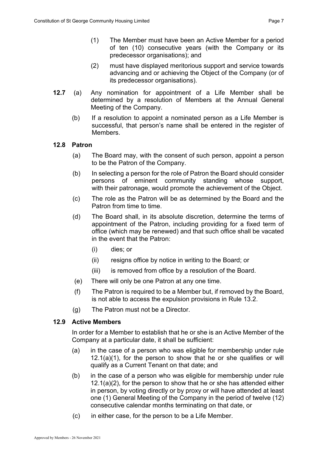- (2) must have displayed meritorious support and service towards advancing and or achieving the Object of the Company (or of its predecessor organisations).
- **12.7** (a) Any nomination for appointment of a Life Member shall be determined by a resolution of Members at the Annual General Meeting of the Company.
	- (b) If a resolution to appoint a nominated person as a Life Member is successful, that person's name shall be entered in the register of **Members**

#### **12.8 Patron**

- (a) The Board may, with the consent of such person, appoint a person to be the Patron of the Company.
- (b) In selecting a person for the role of Patron the Board should consider persons of eminent community standing whose support, with their patronage, would promote the achievement of the Object.
- (c) The role as the Patron will be as determined by the Board and the Patron from time to time.
- (d) The Board shall, in its absolute discretion, determine the terms of appointment of the Patron, including providing for a fixed term of office (which may be renewed) and that such office shall be vacated in the event that the Patron:
	- (i) dies; or
	- (ii) resigns office by notice in writing to the Board; or
	- (iii) is removed from office by a resolution of the Board.
- (e) There will only be one Patron at any one time.
- (f) The Patron is required to be a Member but, if removed by the Board, is not able to access the expulsion provisions in Rule 13.2.
- (g) The Patron must not be a Director.

#### **12.9 Active Members**

In order for a Member to establish that he or she is an Active Member of the Company at a particular date, it shall be sufficient:

- (a) in the case of a person who was eligible for membership under rule  $12.1(a)(1)$ , for the person to show that he or she qualifies or will qualify as a Current Tenant on that date; and
- (b) in the case of a person who was eligible for membership under rule 12.1(a)(2), for the person to show that he or she has attended either in person, by voting directly or by proxy or will have attended at least one (1) General Meeting of the Company in the period of twelve (12) consecutive calendar months terminating on that date, or
- (c) in either case, for the person to be a Life Member.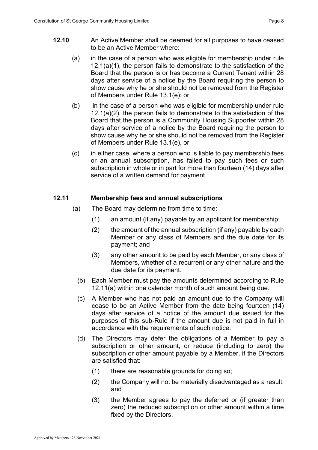- **12.10** An Active Member shall be deemed for all purposes to have ceased to be an Active Member where:
	- (a) in the case of a person who was eligible for membership under rule 12.1(a)(1), the person fails to demonstrate to the satisfaction of the Board that the person is or has become a Current Tenant within 28 days after service of a notice by the Board requiring the person to show cause why he or she should not be removed from the Register of Members under Rule 13.1(e); or
	- (b) in the case of a person who was eligible for membership under rule 12.1(a)(2), the person fails to demonstrate to the satisfaction of the Board that the person is a Community Housing Supporter within 28 days after service of a notice by the Board requiring the person to show cause why he or she should not be removed from the Register of Members under Rule 13.1(e), or
	- (c) in either case, where a person who is liable to pay membership fees or an annual subscription, has failed to pay such fees or such subscription in whole or in part for more than fourteen (14) days after service of a written demand for payment.

#### **12.11 Membership fees and annual subscriptions**

- (a) The Board may determine from time to time:
	- (1) an amount (if any) payable by an applicant for membership;
	- (2) the amount of the annual subscription (if any) payable by each Member or any class of Members and the due date for its payment; and
	- (3) any other amount to be paid by each Member, or any class of Members, whether of a recurrent or any other nature and the due date for its payment.
	- (b) Each Member must pay the amounts determined according to Rule 12.11(a) within one calendar month of such amount being due.
	- (c) A Member who has not paid an amount due to the Company will cease to be an Active Member from the date being fourteen (14) days after service of a notice of the amount due issued for the purposes of this sub-Rule if the amount due is not paid in full in accordance with the requirements of such notice.
	- (d) The Directors may defer the obligations of a Member to pay a subscription or other amount, or reduce (including to zero) the subscription or other amount payable by a Member, if the Directors are satisfied that:
		- (1) there are reasonable grounds for doing so;
		- (2) the Company will not be materially disadvantaged as a result; and
		- (3) the Member agrees to pay the deferred or (if greater than zero) the reduced subscription or other amount within a time fixed by the Directors.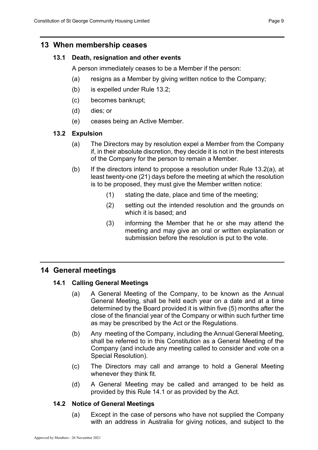## <span id="page-10-0"></span>**13 When membership ceases**

#### **13.1 Death, resignation and other events**

A person immediately ceases to be a Member if the person:

- (a) resigns as a Member by giving written notice to the Company;
- (b) is expelled under Rule 13.2;
- (c) becomes bankrupt;
- (d) dies; or
- (e) ceases being an Active Member.

## **13.2 Expulsion**

- (a) The Directors may by resolution expel a Member from the Company if, in their absolute discretion, they decide it is not in the best interests of the Company for the person to remain a Member.
- (b) If the directors intend to propose a resolution under Rule 13.2(a), at least twenty-one (21) days before the meeting at which the resolution is to be proposed, they must give the Member written notice:
	- (1) stating the date, place and time of the meeting;
	- (2) setting out the intended resolution and the grounds on which it is based; and
	- (3) informing the Member that he or she may attend the meeting and may give an oral or written explanation or submission before the resolution is put to the vote.

## <span id="page-10-1"></span>**14 General meetings**

## **14.1 Calling General Meetings**

- (a) A General Meeting of the Company, to be known as the Annual General Meeting, shall be held each year on a date and at a time determined by the Board provided it is within five (5) months after the close of the financial year of the Company or within such further time as may be prescribed by the Act or the Regulations.
- (b) Any meeting of the Company, including the Annual General Meeting, shall be referred to in this Constitution as a General Meeting of the Company (and include any meeting called to consider and vote on a Special Resolution).
- (c) The Directors may call and arrange to hold a General Meeting whenever they think fit.
- (d) A General Meeting may be called and arranged to be held as provided by this Rule 14.1 or as provided by the Act.

#### **14.2 Notice of General Meetings**

(a) Except in the case of persons who have not supplied the Company with an address in Australia for giving notices, and subject to the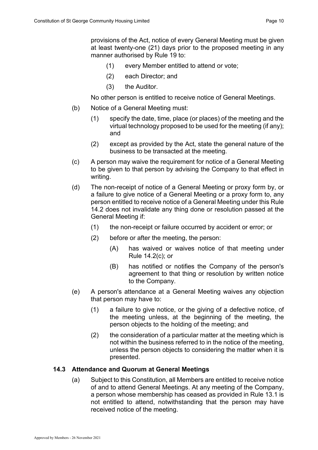provisions of the Act, notice of every General Meeting must be given at least twenty-one (21) days prior to the proposed meeting in any manner authorised by Rule 19 to:

- (1) every Member entitled to attend or vote;
- (2) each Director; and
- (3) the Auditor.

No other person is entitled to receive notice of General Meetings.

- (b) Notice of a General Meeting must:
	- (1) specify the date, time, place (or places) of the meeting and the virtual technology proposed to be used for the meeting (if any); and
	- (2) except as provided by the Act, state the general nature of the business to be transacted at the meeting.
- (c) A person may waive the requirement for notice of a General Meeting to be given to that person by advising the Company to that effect in writing.
- (d) The non-receipt of notice of a General Meeting or proxy form by, or a failure to give notice of a General Meeting or a proxy form to, any person entitled to receive notice of a General Meeting under this Rule 14.2 does not invalidate any thing done or resolution passed at the General Meeting if:
	- (1) the non-receipt or failure occurred by accident or error; or
	- (2) before or after the meeting, the person:
		- (A) has waived or waives notice of that meeting under Rule 14.2(c); or
		- (B) has notified or notifies the Company of the person's agreement to that thing or resolution by written notice to the Company.
- (e) A person's attendance at a General Meeting waives any objection that person may have to:
	- (1) a failure to give notice, or the giving of a defective notice, of the meeting unless, at the beginning of the meeting, the person objects to the holding of the meeting; and
	- (2) the consideration of a particular matter at the meeting which is not within the business referred to in the notice of the meeting, unless the person objects to considering the matter when it is presented.

#### **14.3 Attendance and Quorum at General Meetings**

(a) Subject to this Constitution, all Members are entitled to receive notice of and to attend General Meetings. At any meeting of the Company, a person whose membership has ceased as provided in Rule 13.1 is not entitled to attend, notwithstanding that the person may have received notice of the meeting.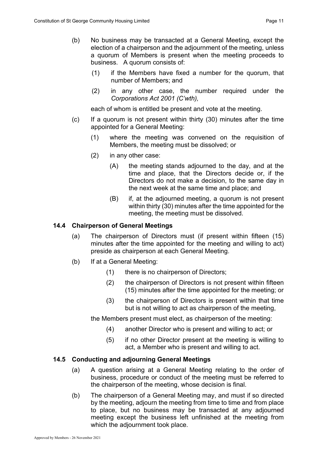- (1) if the Members have fixed a number for the quorum, that number of Members; and
- (2) in any other case, the number required under the *Corporations Act 2001 (C'wth),*

each of whom is entitled be present and vote at the meeting.

- (c) If a quorum is not present within thirty (30) minutes after the time appointed for a General Meeting:
	- (1) where the meeting was convened on the requisition of Members, the meeting must be dissolved; or
	- (2) in any other case:
		- (A) the meeting stands adjourned to the day, and at the time and place, that the Directors decide or, if the Directors do not make a decision, to the same day in the next week at the same time and place; and
		- (B) if, at the adjourned meeting, a quorum is not present within thirty (30) minutes after the time appointed for the meeting, the meeting must be dissolved.

#### **14.4 Chairperson of General Meetings**

- (a) The chairperson of Directors must (if present within fifteen (15) minutes after the time appointed for the meeting and willing to act) preside as chairperson at each General Meeting.
- (b) If at a General Meeting:
	- (1) there is no chairperson of Directors;
	- (2) the chairperson of Directors is not present within fifteen (15) minutes after the time appointed for the meeting; or
	- (3) the chairperson of Directors is present within that time but is not willing to act as chairperson of the meeting,

the Members present must elect, as chairperson of the meeting:

- (4) another Director who is present and willing to act; or
- (5) if no other Director present at the meeting is willing to act, a Member who is present and willing to act.

#### **14.5 Conducting and adjourning General Meetings**

- (a) A question arising at a General Meeting relating to the order of business, procedure or conduct of the meeting must be referred to the chairperson of the meeting, whose decision is final.
- (b) The chairperson of a General Meeting may, and must if so directed by the meeting, adjourn the meeting from time to time and from place to place, but no business may be transacted at any adjourned meeting except the business left unfinished at the meeting from which the adjournment took place.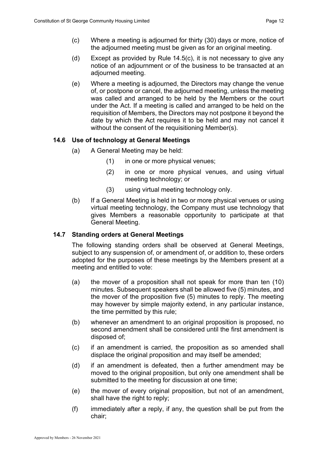- (c) Where a meeting is adjourned for thirty (30) days or more, notice of the adjourned meeting must be given as for an original meeting.
- (d) Except as provided by Rule 14.5(c), it is not necessary to give any notice of an adjournment or of the business to be transacted at an adjourned meeting.
- (e) Where a meeting is adjourned, the Directors may change the venue of, or postpone or cancel, the adjourned meeting, unless the meeting was called and arranged to be held by the Members or the court under the Act. If a meeting is called and arranged to be held on the requisition of Members, the Directors may not postpone it beyond the date by which the Act requires it to be held and may not cancel it without the consent of the requisitioning Member(s).

#### **14.6 Use of technology at General Meetings**

- (a) A General Meeting may be held:
	- (1) in one or more physical venues;
	- (2) in one or more physical venues, and using virtual meeting technology; or
	- (3) using virtual meeting technology only.
- (b) If a General Meeting is held in two or more physical venues or using virtual meeting technology, the Company must use technology that gives Members a reasonable opportunity to participate at that General Meeting.

#### **14.7 Standing orders at General Meetings**

The following standing orders shall be observed at General Meetings, subject to any suspension of, or amendment of, or addition to, these orders adopted for the purposes of these meetings by the Members present at a meeting and entitled to vote:

- (a) the mover of a proposition shall not speak for more than ten (10) minutes. Subsequent speakers shall be allowed five (5) minutes, and the mover of the proposition five (5) minutes to reply. The meeting may however by simple majority extend, in any particular instance, the time permitted by this rule;
- (b) whenever an amendment to an original proposition is proposed, no second amendment shall be considered until the first amendment is disposed of;
- (c) if an amendment is carried, the proposition as so amended shall displace the original proposition and may itself be amended;
- (d) if an amendment is defeated, then a further amendment may be moved to the original proposition, but only one amendment shall be submitted to the meeting for discussion at one time;
- (e) the mover of every original proposition, but not of an amendment, shall have the right to reply;
- (f) immediately after a reply, if any, the question shall be put from the chair;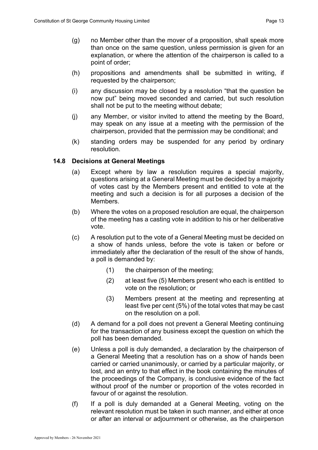- (h) propositions and amendments shall be submitted in writing, if requested by the chairperson;
- (i) any discussion may be closed by a resolution "that the question be now put" being moved seconded and carried, but such resolution shall not be put to the meeting without debate;
- (j) any Member, or visitor invited to attend the meeting by the Board, may speak on any issue at a meeting with the permission of the chairperson, provided that the permission may be conditional; and
- (k) standing orders may be suspended for any period by ordinary resolution.

#### **14.8 Decisions at General Meetings**

point of order;

- (a) Except where by law a resolution requires a special majority, questions arising at a General Meeting must be decided by a majority of votes cast by the Members present and entitled to vote at the meeting and such a decision is for all purposes a decision of the Members.
- (b) Where the votes on a proposed resolution are equal, the chairperson of the meeting has a casting vote in addition to his or her deliberative vote.
- (c) A resolution put to the vote of a General Meeting must be decided on a show of hands unless, before the vote is taken or before or immediately after the declaration of the result of the show of hands, a poll is demanded by:
	- (1) the chairperson of the meeting;
	- (2) at least five (5) Members present who each is entitled to vote on the resolution; or
	- (3) Members present at the meeting and representing at least five per cent (5%) of the total votes that may be cast on the resolution on a poll.
- (d) A demand for a poll does not prevent a General Meeting continuing for the transaction of any business except the question on which the poll has been demanded.
- (e) Unless a poll is duly demanded, a declaration by the chairperson of a General Meeting that a resolution has on a show of hands been carried or carried unanimously, or carried by a particular majority, or lost, and an entry to that effect in the book containing the minutes of the proceedings of the Company, is conclusive evidence of the fact without proof of the number or proportion of the votes recorded in favour of or against the resolution.
- (f) If a poll is duly demanded at a General Meeting, voting on the relevant resolution must be taken in such manner, and either at once or after an interval or adjournment or otherwise, as the chairperson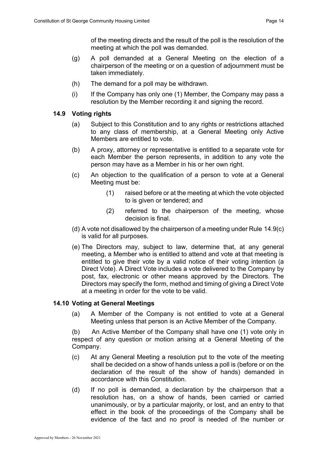of the meeting directs and the result of the poll is the resolution of the meeting at which the poll was demanded.

- (g) A poll demanded at a General Meeting on the election of a chairperson of the meeting or on a question of adjournment must be taken immediately.
- (h) The demand for a poll may be withdrawn.
- (i) If the Company has only one (1) Member, the Company may pass a resolution by the Member recording it and signing the record.

#### **14.9 Voting rights**

- (a) Subject to this Constitution and to any rights or restrictions attached to any class of membership, at a General Meeting only Active Members are entitled to vote.
- (b) A proxy, attorney or representative is entitled to a separate vote for each Member the person represents, in addition to any vote the person may have as a Member in his or her own right.
- (c) An objection to the qualification of a person to vote at a General Meeting must be:
	- (1) raised before or at the meeting at which the vote objected to is given or tendered; and
	- (2) referred to the chairperson of the meeting, whose decision is final.
- (d) A vote not disallowed by the chairperson of a meeting under Rule 14.9(c) is valid for all purposes.
- (e) The Directors may, subject to law, determine that, at any general meeting, a Member who is entitled to attend and vote at that meeting is entitled to give their vote by a valid notice of their voting intention (a Direct Vote). A Direct Vote includes a vote delivered to the Company by post, fax, electronic or other means approved by the Directors. The Directors may specify the form, method and timing of giving a Direct Vote at a meeting in order for the vote to be valid.

#### **14.10 Voting at General Meetings**

(a) A Member of the Company is not entitled to vote at a General Meeting unless that person is an Active Member of the Company.

(b) An Active Member of the Company shall have one (1) vote only in respect of any question or motion arising at a General Meeting of the Company.

- (c) At any General Meeting a resolution put to the vote of the meeting shall be decided on a show of hands unless a poll is (before or on the declaration of the result of the show of hands) demanded in accordance with this Constitution.
- (d) If no poll is demanded, a declaration by the chairperson that a resolution has, on a show of hands, been carried or carried unanimously, or by a particular majority, or lost, and an entry to that effect in the book of the proceedings of the Company shall be evidence of the fact and no proof is needed of the number or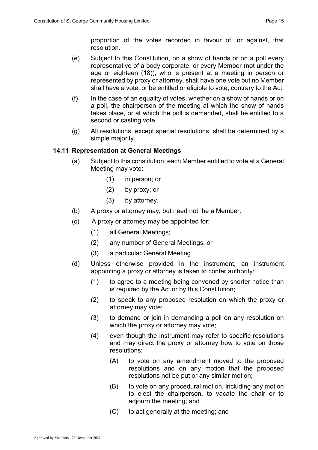proportion of the votes recorded in favour of, or against, that resolution.

- (e) Subject to this Constitution, on a show of hands or on a poll every representative of a body corporate, or every Member (not under the age or eighteen (18)), who is present at a meeting in person or represented by proxy or attorney, shall have one vote but no Member shall have a vote, or be entitled or eligible to vote, contrary to the Act.
- $(f)$  In the case of an equality of votes, whether on a show of hands or on a poll, the chairperson of the meeting at which the show of hands takes place, or at which the poll is demanded, shall be entitled to a second or casting vote.
- (g) All resolutions, except special resolutions, shall be determined by a simple majority.

#### **14.11 Representation at General Meetings**

- (a) Subject to this constitution, each Member entitled to vote at a General Meeting may vote:
	- (1) in person; or
	- (2) by proxy; or
	- (3) by attorney.
- (b) A proxy or attorney may, but need not, be a Member.
- (c) A proxy or attorney may be appointed for:
	- (1) all General Meetings;
	- (2) any number of General Meetings; or
	- (3) a particular General Meeting.
- (d) Unless otherwise provided in the instrument, an instrument appointing a proxy or attorney is taken to confer authority:
	- (1) to agree to a meeting being convened by shorter notice than is required by the Act or by this Constitution;
	- (2) to speak to any proposed resolution on which the proxy or attorney may vote;
	- (3) to demand or join in demanding a poll on any resolution on which the proxy or attorney may vote;
	- (4) even though the instrument may refer to specific resolutions and may direct the proxy or attorney how to vote on those resolutions:
		- (A) to vote on any amendment moved to the proposed resolutions and on any motion that the proposed resolutions not be put or any similar motion;
		- (B) to vote on any procedural motion, including any motion to elect the chairperson, to vacate the chair or to adjourn the meeting; and
		- (C) to act generally at the meeting; and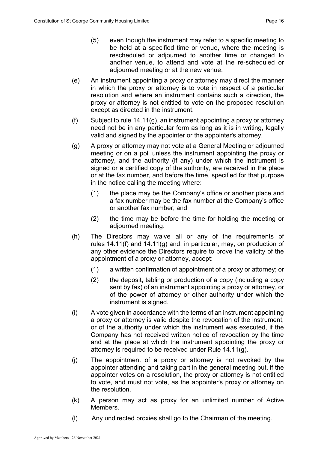- (5) even though the instrument may refer to a specific meeting to be held at a specified time or venue, where the meeting is rescheduled or adjourned to another time or changed to another venue, to attend and vote at the re-scheduled or adjourned meeting or at the new venue.
- (e) An instrument appointing a proxy or attorney may direct the manner in which the proxy or attorney is to vote in respect of a particular resolution and where an instrument contains such a direction, the proxy or attorney is not entitled to vote on the proposed resolution except as directed in the instrument.
- (f) Subject to rule  $14.11(g)$ , an instrument appointing a proxy or attorney need not be in any particular form as long as it is in writing, legally valid and signed by the appointer or the appointer's attorney.
- (g) A proxy or attorney may not vote at a General Meeting or adjourned meeting or on a poll unless the instrument appointing the proxy or attorney, and the authority (if any) under which the instrument is signed or a certified copy of the authority, are received in the place or at the fax number, and before the time, specified for that purpose in the notice calling the meeting where:
	- (1) the place may be the Company's office or another place and a fax number may be the fax number at the Company's office or another fax number; and
	- (2) the time may be before the time for holding the meeting or adjourned meeting.
- (h) The Directors may waive all or any of the requirements of rules 14.11(f) and 14.11(g) and, in particular, may, on production of any other evidence the Directors require to prove the validity of the appointment of a proxy or attorney, accept:
	- (1) a written confirmation of appointment of a proxy or attorney; or
	- (2) the deposit, tabling or production of a copy (including a copy sent by fax) of an instrument appointing a proxy or attorney, or of the power of attorney or other authority under which the instrument is signed.
- (i) A vote given in accordance with the terms of an instrument appointing a proxy or attorney is valid despite the revocation of the instrument, or of the authority under which the instrument was executed, if the Company has not received written notice of revocation by the time and at the place at which the instrument appointing the proxy or attorney is required to be received under Rule 14.11(g).
- (j) The appointment of a proxy or attorney is not revoked by the appointer attending and taking part in the general meeting but, if the appointer votes on a resolution, the proxy or attorney is not entitled to vote, and must not vote, as the appointer's proxy or attorney on the resolution.
- (k) A person may act as proxy for an unlimited number of Active Members.
- (l) Any undirected proxies shall go to the Chairman of the meeting.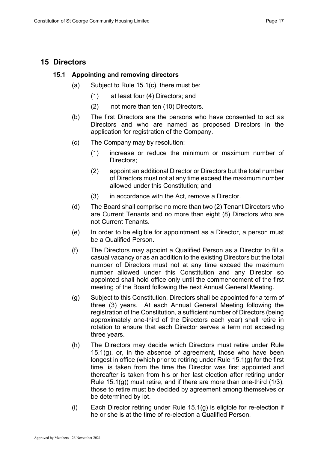## <span id="page-18-0"></span>**15 Directors**

#### **15.1 Appointing and removing directors**

- (a) Subject to Rule 15.1(c), there must be:
	- (1) at least four (4) Directors; and
	- (2) not more than ten (10) Directors.
- (b) The first Directors are the persons who have consented to act as Directors and who are named as proposed Directors in the application for registration of the Company.
- (c) The Company may by resolution:
	- (1) increase or reduce the minimum or maximum number of Directors:
	- (2) appoint an additional Director or Directors but the total number of Directors must not at any time exceed the maximum number allowed under this Constitution; and
	- (3) in accordance with the Act, remove a Director.
- (d) The Board shall comprise no more than two (2) Tenant Directors who are Current Tenants and no more than eight (8) Directors who are not Current Tenants.
- (e) In order to be eligible for appointment as a Director, a person must be a Qualified Person.
- (f) The Directors may appoint a Qualified Person as a Director to fill a casual vacancy or as an addition to the existing Directors but the total number of Directors must not at any time exceed the maximum number allowed under this Constitution and any Director so appointed shall hold office only until the commencement of the first meeting of the Board following the next Annual General Meeting.
- (g) Subject to this Constitution, Directors shall be appointed for a term of three (3) years. At each Annual General Meeting following the registration of the Constitution, a sufficient number of Directors (being approximately one-third of the Directors each year) shall retire in rotation to ensure that each Director serves a term not exceeding three years.
- (h) The Directors may decide which Directors must retire under Rule  $15.1(q)$ , or, in the absence of agreement, those who have been longest in office (which prior to retiring under Rule 15.1(g) for the first time, is taken from the time the Director was first appointed and thereafter is taken from his or her last election after retiring under Rule  $15.1(q)$ ) must retire, and if there are more than one-third  $(1/3)$ , those to retire must be decided by agreement among themselves or be determined by lot.
- (i) Each Director retiring under Rule 15.1(g) is eligible for re-election if he or she is at the time of re-election a Qualified Person.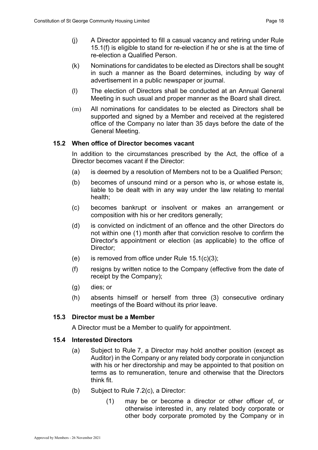- (j) A Director appointed to fill a casual vacancy and retiring under Rule 15.1(f) is eligible to stand for re-election if he or she is at the time of re-election a Qualified Person.
- (k) Nominations for candidates to be elected as Directors shall be sought in such a manner as the Board determines, including by way of advertisement in a public newspaper or journal.
- (l) The election of Directors shall be conducted at an Annual General Meeting in such usual and proper manner as the Board shall direct.
- (m) All nominations for candidates to be elected as Directors shall be supported and signed by a Member and received at the registered office of the Company no later than 35 days before the date of the General Meeting.

#### **15.2 When office of Director becomes vacant**

In addition to the circumstances prescribed by the Act, the office of a Director becomes vacant if the Director:

- (a) is deemed by a resolution of Members not to be a Qualified Person;
- (b) becomes of unsound mind or a person who is, or whose estate is, liable to be dealt with in any way under the law relating to mental health;
- (c) becomes bankrupt or insolvent or makes an arrangement or composition with his or her creditors generally;
- (d) is convicted on indictment of an offence and the other Directors do not within one (1) month after that conviction resolve to confirm the Director's appointment or election (as applicable) to the office of Director;
- (e) is removed from office under Rule  $15.1(c)(3)$ ;
- (f) resigns by written notice to the Company (effective from the date of receipt by the Company);
- (g) dies; or
- (h) absents himself or herself from three (3) consecutive ordinary meetings of the Board without its prior leave.

#### **15.3 Director must be a Member**

A Director must be a Member to qualify for appointment.

#### **15.4 Interested Directors**

- (a) Subject to Rule 7, a Director may hold another position (except as Auditor) in the Company or any related body corporate in conjunction with his or her directorship and may be appointed to that position on terms as to remuneration, tenure and otherwise that the Directors think fit.
- (b) Subject to Rule 7.2(c), a Director:
	- (1) may be or become a director or other officer of, or otherwise interested in, any related body corporate or other body corporate promoted by the Company or in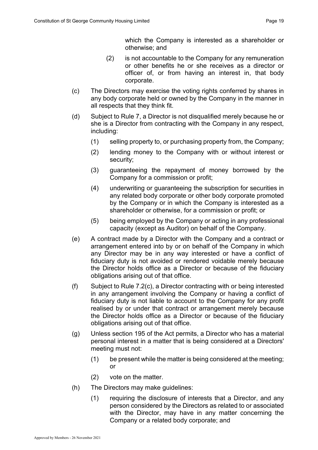which the Company is interested as a shareholder or otherwise; and

- (2) is not accountable to the Company for any remuneration or other benefits he or she receives as a director or officer of, or from having an interest in, that body corporate.
- (c) The Directors may exercise the voting rights conferred by shares in any body corporate held or owned by the Company in the manner in all respects that they think fit.
- (d) Subject to Rule 7, a Director is not disqualified merely because he or she is a Director from contracting with the Company in any respect, including:
	- (1) selling property to, or purchasing property from, the Company;
	- (2) lending money to the Company with or without interest or security;
	- (3) guaranteeing the repayment of money borrowed by the Company for a commission or profit;
	- (4) underwriting or guaranteeing the subscription for securities in any related body corporate or other body corporate promoted by the Company or in which the Company is interested as a shareholder or otherwise, for a commission or profit; or
	- (5) being employed by the Company or acting in any professional capacity (except as Auditor) on behalf of the Company.
- (e) A contract made by a Director with the Company and a contract or arrangement entered into by or on behalf of the Company in which any Director may be in any way interested or have a conflict of fiduciary duty is not avoided or rendered voidable merely because the Director holds office as a Director or because of the fiduciary obligations arising out of that office.
- (f) Subject to Rule 7.2(c), a Director contracting with or being interested in any arrangement involving the Company or having a conflict of fiduciary duty is not liable to account to the Company for any profit realised by or under that contract or arrangement merely because the Director holds office as a Director or because of the fiduciary obligations arising out of that office.
- (g) Unless section 195 of the Act permits, a Director who has a material personal interest in a matter that is being considered at a Directors' meeting must not:
	- (1) be present while the matter is being considered at the meeting; or
	- (2) vote on the matter.
- (h) The Directors may make guidelines:
	- (1) requiring the disclosure of interests that a Director, and any person considered by the Directors as related to or associated with the Director, may have in any matter concerning the Company or a related body corporate; and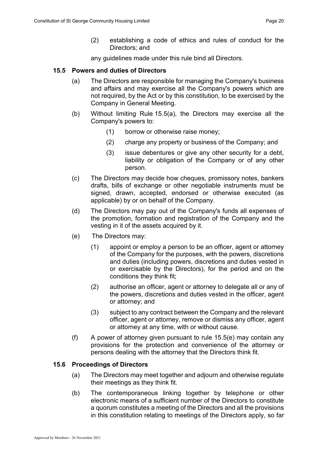(2) establishing a code of ethics and rules of conduct for the Directors; and

any guidelines made under this rule bind all Directors.

#### **15.5 Powers and duties of Directors**

- (a) The Directors are responsible for managing the Company's business and affairs and may exercise all the Company's powers which are not required, by the Act or by this constitution, to be exercised by the Company in General Meeting.
- (b) Without limiting Rule 15.5(a), the Directors may exercise all the Company's powers to:
	- (1) borrow or otherwise raise money;
	- (2) charge any property or business of the Company; and
	- (3) issue debentures or give any other security for a debt, liability or obligation of the Company or of any other person.
- (c) The Directors may decide how cheques, promissory notes, bankers drafts, bills of exchange or other negotiable instruments must be signed, drawn, accepted, endorsed or otherwise executed (as applicable) by or on behalf of the Company.
- (d) The Directors may pay out of the Company's funds all expenses of the promotion, formation and registration of the Company and the vesting in it of the assets acquired by it.
- (e) The Directors may:
	- (1) appoint or employ a person to be an officer, agent or attorney of the Company for the purposes, with the powers, discretions and duties (including powers, discretions and duties vested in or exercisable by the Directors), for the period and on the conditions they think fit;
	- (2) authorise an officer, agent or attorney to delegate all or any of the powers, discretions and duties vested in the officer, agent or attorney; and
	- (3) subject to any contract between the Company and the relevant officer, agent or attorney, remove or dismiss any officer, agent or attorney at any time, with or without cause.
- (f) A power of attorney given pursuant to rule  $15.5(e)$  may contain any provisions for the protection and convenience of the attorney or persons dealing with the attorney that the Directors think fit.

#### **15.6 Proceedings of Directors**

- (a) The Directors may meet together and adjourn and otherwise regulate their meetings as they think fit.
- (b) The contemporaneous linking together by telephone or other electronic means of a sufficient number of the Directors to constitute a quorum constitutes a meeting of the Directors and all the provisions in this constitution relating to meetings of the Directors apply, so far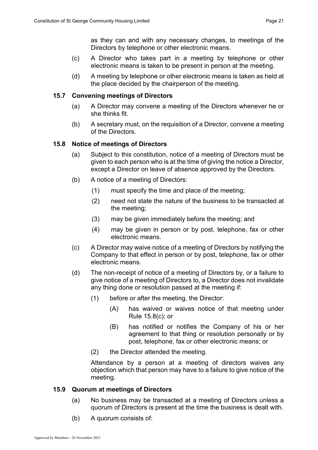as they can and with any necessary changes, to meetings of the Directors by telephone or other electronic means.

- (c) A Director who takes part in a meeting by telephone or other electronic means is taken to be present in person at the meeting.
- (d) A meeting by telephone or other electronic means is taken as held at the place decided by the chairperson of the meeting.

#### **15.7 Convening meetings of Directors**

- (a) A Director may convene a meeting of the Directors whenever he or she thinks fit.
- (b) A secretary must, on the requisition of a Director, convene a meeting of the Directors.

#### **15.8 Notice of meetings of Directors**

- (a) Subject to this constitution, notice of a meeting of Directors must be given to each person who is at the time of giving the notice a Director, except a Director on leave of absence approved by the Directors.
- (b) A notice of a meeting of Directors:
	- (1) must specify the time and place of the meeting;
	- (2) need not state the nature of the business to be transacted at the meeting;
	- (3) may be given immediately before the meeting; and
	- (4) may be given in person or by post, telephone, fax or other electronic means.
- (c) A Director may waive notice of a meeting of Directors by notifying the Company to that effect in person or by post, telephone, fax or other electronic means.
- (d) The non-receipt of notice of a meeting of Directors by, or a failure to give notice of a meeting of Directors to, a Director does not invalidate any thing done or resolution passed at the meeting if:
	- (1) before or after the meeting, the Director:
		- (A) has waived or waives notice of that meeting under Rule 15.8(c); or
		- (B) has notified or notifies the Company of his or her agreement to that thing or resolution personally or by post, telephone, fax or other electronic means; or
	- (2) the Director attended the meeting.

Attendance by a person at a meeting of directors waives any objection which that person may have to a failure to give notice of the meeting.

#### **15.9 Quorum at meetings of Directors**

- (a) No business may be transacted at a meeting of Directors unless a quorum of Directors is present at the time the business is dealt with.
- (b) A quorum consists of: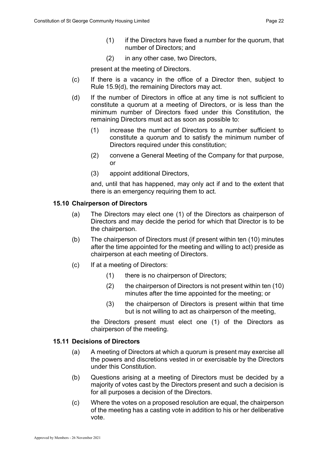- (1) if the Directors have fixed a number for the quorum, that number of Directors; and
- (2) in any other case, two Directors,

present at the meeting of Directors.

- (c) If there is a vacancy in the office of a Director then, subject to Rule 15.9(d), the remaining Directors may act.
- (d) If the number of Directors in office at any time is not sufficient to constitute a quorum at a meeting of Directors, or is less than the minimum number of Directors fixed under this Constitution, the remaining Directors must act as soon as possible to:
	- (1) increase the number of Directors to a number sufficient to constitute a quorum and to satisfy the minimum number of Directors required under this constitution;
	- (2) convene a General Meeting of the Company for that purpose, or
	- (3) appoint additional Directors,

and, until that has happened, may only act if and to the extent that there is an emergency requiring them to act.

#### **15.10 Chairperson of Directors**

- (a) The Directors may elect one (1) of the Directors as chairperson of Directors and may decide the period for which that Director is to be the chairperson.
- (b) The chairperson of Directors must (if present within ten (10) minutes after the time appointed for the meeting and willing to act) preside as chairperson at each meeting of Directors.
- (c) If at a meeting of Directors:
	- (1) there is no chairperson of Directors;
	- (2) the chairperson of Directors is not present within ten (10) minutes after the time appointed for the meeting; or
	- (3) the chairperson of Directors is present within that time but is not willing to act as chairperson of the meeting,

the Directors present must elect one (1) of the Directors as chairperson of the meeting.

#### **15.11 Decisions of Directors**

- (a) A meeting of Directors at which a quorum is present may exercise all the powers and discretions vested in or exercisable by the Directors under this Constitution.
- (b) Questions arising at a meeting of Directors must be decided by a majority of votes cast by the Directors present and such a decision is for all purposes a decision of the Directors.
- (c) Where the votes on a proposed resolution are equal, the chairperson of the meeting has a casting vote in addition to his or her deliberative vote.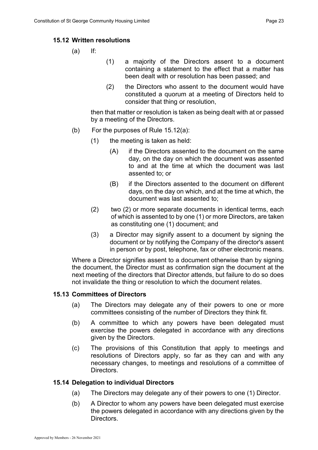#### **15.12 Written resolutions**

- (a) If:
- (1) a majority of the Directors assent to a document containing a statement to the effect that a matter has been dealt with or resolution has been passed; and
- (2) the Directors who assent to the document would have constituted a quorum at a meeting of Directors held to consider that thing or resolution,

then that matter or resolution is taken as being dealt with at or passed by a meeting of the Directors.

- (b) For the purposes of Rule 15.12(a):
	- (1) the meeting is taken as held:
		- (A) if the Directors assented to the document on the same day, on the day on which the document was assented to and at the time at which the document was last assented to; or
		- (B) if the Directors assented to the document on different days, on the day on which, and at the time at which, the document was last assented to;
	- (2) two (2) or more separate documents in identical terms, each of which is assented to by one (1) or more Directors, are taken as constituting one (1) document; and
	- (3) a Director may signify assent to a document by signing the document or by notifying the Company of the director's assent in person or by post, telephone, fax or other electronic means.

Where a Director signifies assent to a document otherwise than by signing the document, the Director must as confirmation sign the document at the next meeting of the directors that Director attends, but failure to do so does not invalidate the thing or resolution to which the document relates.

#### **15.13 Committees of Directors**

- (a) The Directors may delegate any of their powers to one or more committees consisting of the number of Directors they think fit.
- (b) A committee to which any powers have been delegated must exercise the powers delegated in accordance with any directions given by the Directors.
- (c) The provisions of this Constitution that apply to meetings and resolutions of Directors apply, so far as they can and with any necessary changes, to meetings and resolutions of a committee of Directors.

#### **15.14 Delegation to individual Directors**

- (a) The Directors may delegate any of their powers to one (1) Director.
- (b) A Director to whom any powers have been delegated must exercise the powers delegated in accordance with any directions given by the Directors.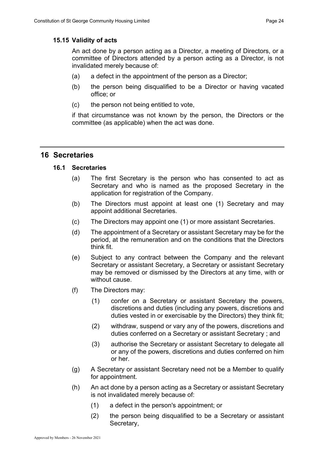#### **15.15 Validity of acts**

An act done by a person acting as a Director, a meeting of Directors, or a committee of Directors attended by a person acting as a Director, is not invalidated merely because of:

- (a) a defect in the appointment of the person as a Director;
- (b) the person being disqualified to be a Director or having vacated office; or
- (c) the person not being entitled to vote,

if that circumstance was not known by the person, the Directors or the committee (as applicable) when the act was done.

## <span id="page-25-0"></span>**16 Secretaries**

#### **16.1 Secretaries**

- (a) The first Secretary is the person who has consented to act as Secretary and who is named as the proposed Secretary in the application for registration of the Company.
- (b) The Directors must appoint at least one (1) Secretary and may appoint additional Secretaries.
- (c) The Directors may appoint one (1) or more assistant Secretaries.
- (d) The appointment of a Secretary or assistant Secretary may be for the period, at the remuneration and on the conditions that the Directors think fit.
- (e) Subject to any contract between the Company and the relevant Secretary or assistant Secretary, a Secretary or assistant Secretary may be removed or dismissed by the Directors at any time, with or without cause.
- (f) The Directors may:
	- (1) confer on a Secretary or assistant Secretary the powers, discretions and duties (including any powers, discretions and duties vested in or exercisable by the Directors) they think fit;
	- (2) withdraw, suspend or vary any of the powers, discretions and duties conferred on a Secretary or assistant Secretary ; and
	- (3) authorise the Secretary or assistant Secretary to delegate all or any of the powers, discretions and duties conferred on him or her.
- (g) A Secretary or assistant Secretary need not be a Member to qualify for appointment.
- (h) An act done by a person acting as a Secretary or assistant Secretary is not invalidated merely because of:
	- (1) a defect in the person's appointment; or
	- (2) the person being disqualified to be a Secretary or assistant Secretary,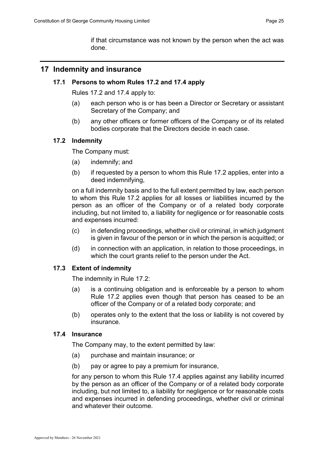## <span id="page-26-0"></span>**17 Indemnity and insurance**

#### **17.1 Persons to whom Rules 17.2 and 17.4 apply**

Rules 17.2 and 17.4 apply to:

- (a) each person who is or has been a Director or Secretary or assistant Secretary of the Company; and
- (b) any other officers or former officers of the Company or of its related bodies corporate that the Directors decide in each case.

#### **17.2 Indemnity**

The Company must:

- (a) indemnify; and
- (b) if requested by a person to whom this Rule 17.2 applies, enter into a deed indemnifying,

on a full indemnity basis and to the full extent permitted by law, each person to whom this Rule 17.2 applies for all losses or liabilities incurred by the person as an officer of the Company or of a related body corporate including, but not limited to, a liability for negligence or for reasonable costs and expenses incurred:

- (c) in defending proceedings, whether civil or criminal, in which judgment is given in favour of the person or in which the person is acquitted; or
- (d) in connection with an application, in relation to those proceedings, in which the court grants relief to the person under the Act.

## **17.3 Extent of indemnity**

The indemnity in Rule 17.2:

- (a) is a continuing obligation and is enforceable by a person to whom Rule 17.2 applies even though that person has ceased to be an officer of the Company or of a related body corporate; and
- (b) operates only to the extent that the loss or liability is not covered by insurance.

## **17.4 Insurance**

The Company may, to the extent permitted by law:

- (a) purchase and maintain insurance; or
- (b) pay or agree to pay a premium for insurance,

for any person to whom this Rule 17.4 applies against any liability incurred by the person as an officer of the Company or of a related body corporate including, but not limited to, a liability for negligence or for reasonable costs and expenses incurred in defending proceedings, whether civil or criminal and whatever their outcome.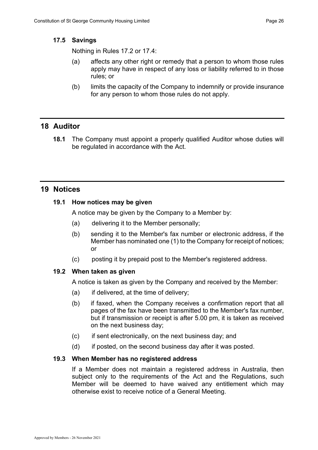#### **17.5 Savings**

Nothing in Rules 17.2 or 17.4:

- (a) affects any other right or remedy that a person to whom those rules apply may have in respect of any loss or liability referred to in those rules; or
- (b) limits the capacity of the Company to indemnify or provide insurance for any person to whom those rules do not apply.

## <span id="page-27-0"></span>**18 Auditor**

**18.1** The Company must appoint a properly qualified Auditor whose duties will be regulated in accordance with the Act.

## <span id="page-27-1"></span>**19 Notices**

## **19.1 How notices may be given**

A notice may be given by the Company to a Member by:

- (a) delivering it to the Member personally;
- (b) sending it to the Member's fax number or electronic address, if the Member has nominated one (1) to the Company for receipt of notices; or
- (c) posting it by prepaid post to the Member's registered address.

## **19.2 When taken as given**

A notice is taken as given by the Company and received by the Member:

- (a) if delivered, at the time of delivery;
- (b) if faxed, when the Company receives a confirmation report that all pages of the fax have been transmitted to the Member's fax number, but if transmission or receipt is after 5.00 pm, it is taken as received on the next business day;
- (c) if sent electronically, on the next business day; and
- (d) if posted, on the second business day after it was posted.

#### **19.3 When Member has no registered address**

If a Member does not maintain a registered address in Australia, then subject only to the requirements of the Act and the Regulations, such Member will be deemed to have waived any entitlement which may otherwise exist to receive notice of a General Meeting.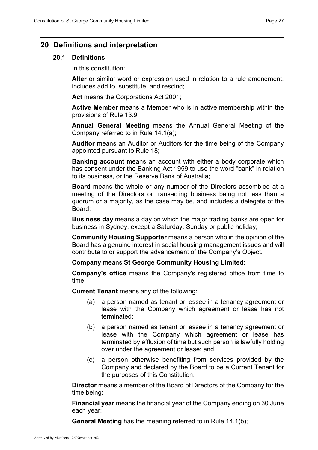## <span id="page-28-0"></span>**20 Definitions and interpretation**

#### **20.1 Definitions**

In this constitution:

**Alter** or similar word or expression used in relation to a rule amendment, includes add to, substitute, and rescind;

**Act** means the Corporations Act 2001;

**Active Member** means a Member who is in active membership within the provisions of Rule 13.9;

**Annual General Meeting** means the Annual General Meeting of the Company referred to in Rule 14.1(a);

**Auditor** means an Auditor or Auditors for the time being of the Company appointed pursuant to Rule 18;

**Banking account** means an account with either a body corporate which has consent under the Banking Act 1959 to use the word "bank" in relation to its business, or the Reserve Bank of Australia;

**Board** means the whole or any number of the Directors assembled at a meeting of the Directors or transacting business being not less than a quorum or a majority, as the case may be, and includes a delegate of the Board;

**Business day** means a day on which the major trading banks are open for business in Sydney, except a Saturday, Sunday or public holiday;

**Community Housing Supporter** means a person who in the opinion of the Board has a genuine interest in social housing management issues and will contribute to or support the advancement of the Company's Object.

**Company** means **St George Community Housing Limited**;

**Company's office** means the Company's registered office from time to time;

**Current Tenant** means any of the following:

- (a) a person named as tenant or lessee in a tenancy agreement or lease with the Company which agreement or lease has not terminated;
- (b) a person named as tenant or lessee in a tenancy agreement or lease with the Company which agreement or lease has terminated by effluxion of time but such person is lawfully holding over under the agreement or lease; and
- (c) a person otherwise benefiting from services provided by the Company and declared by the Board to be a Current Tenant for the purposes of this Constitution.

**Director** means a member of the Board of Directors of the Company for the time being;

**Financial year** means the financial year of the Company ending on 30 June each year;

**General Meeting** has the meaning referred to in Rule 14.1(b);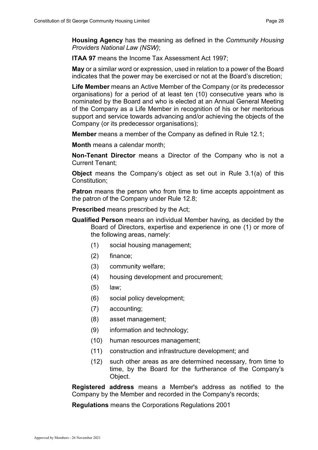**ITAA 97** means the Income Tax Assessment Act 1997;

**May** or a similar word or expression, used in relation to a power of the Board indicates that the power may be exercised or not at the Board's discretion;

**Life Member** means an Active Member of the Company (or its predecessor organisations) for a period of at least ten (10) consecutive years who is nominated by the Board and who is elected at an Annual General Meeting of the Company as a Life Member in recognition of his or her meritorious support and service towards advancing and/or achieving the objects of the Company (or its predecessor organisations);

**Member** means a member of the Company as defined in Rule 12.1;

**Month** means a calendar month;

**Non-Tenant Director** means a Director of the Company who is not a Current Tenant;

**Object** means the Company's object as set out in Rule 3.1(a) of this Constitution;

**Patron** means the person who from time to time accepts appointment as the patron of the Company under Rule 12.8;

**Prescribed** means prescribed by the Act;

- **Qualified Person** means an individual Member having, as decided by the Board of Directors, expertise and experience in one (1) or more of the following areas, namely:
	- (1) social housing management;
	- (2) finance;
	- (3) community welfare;
	- (4) housing development and procurement;
	- (5) law;
	- (6) social policy development;
	- (7) accounting;
	- (8) asset management;
	- (9) information and technology;
	- (10) human resources management;
	- (11) construction and infrastructure development; and
	- (12) such other areas as are determined necessary, from time to time, by the Board for the furtherance of the Company's Object.

**Registered address** means a Member's address as notified to the Company by the Member and recorded in the Company's records;

**Regulations** means the Corporations Regulations 2001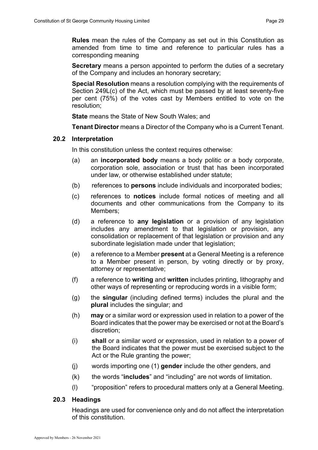**Rules** mean the rules of the Company as set out in this Constitution as amended from time to time and reference to particular rules has a corresponding meaning

**Secretary** means a person appointed to perform the duties of a secretary of the Company and includes an honorary secretary;

**Special Resolution** means a resolution complying with the requirements of Section 249L(c) of the Act, which must be passed by at least seventy-five per cent (75%) of the votes cast by Members entitled to vote on the resolution;

**State** means the State of New South Wales; and

**Tenant Director** means a Director of the Company who is a Current Tenant.

#### **20.2 Interpretation**

In this constitution unless the context requires otherwise:

- (a) an **incorporated body** means a body politic or a body corporate, corporation sole, association or trust that has been incorporated under law, or otherwise established under statute;
- (b) references to **persons** include individuals and incorporated bodies;
- (c) references to **notices** include formal notices of meeting and all documents and other communications from the Company to its Members;
- (d) a reference to **any legislation** or a provision of any legislation includes any amendment to that legislation or provision, any consolidation or replacement of that legislation or provision and any subordinate legislation made under that legislation;
- (e) a reference to a Member **present** at a General Meeting is a reference to a Member present in person, by voting directly or by proxy, attorney or representative;
- (f) a reference to **writing** and **written** includes printing, lithography and other ways of representing or reproducing words in a visible form;
- (g) the **singular** (including defined terms) includes the plural and the **plural** includes the singular; and
- (h) **may** or a similar word or expression used in relation to a power of the Board indicates that the power may be exercised or not at the Board's discretion;
- (i) **shall** or a similar word or expression, used in relation to a power of the Board indicates that the power must be exercised subject to the Act or the Rule granting the power;
- (j) words importing one (1) **gender** include the other genders, and
- (k) the words "**includes**" and "including" are not words of limitation.
- (l) "proposition" refers to procedural matters only at a General Meeting.

#### **20.3 Headings**

Headings are used for convenience only and do not affect the interpretation of this constitution.